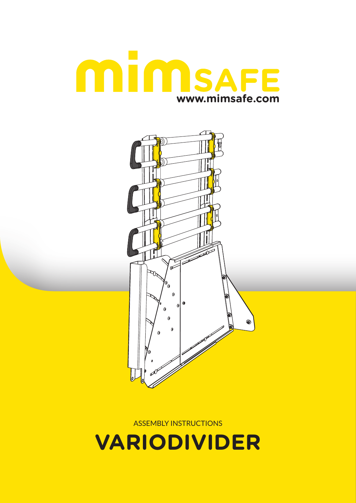

ASSEMBLY INSTRUCTIONS



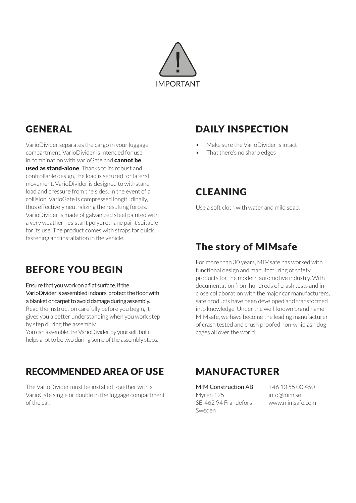

# **GENERAL**

VarioDivider separates the cargo in your luggage compartment. VarioDivider is intended for use in combination with VarioGate and **cannot be** used as stand-alone. Thanks to its robust and controllable design, the load is secured for lateral movement. VarioDivider is designed to withstand load and pressure from the sides. In the event of a collision, VarioGate is compressed longitudinally, thus effectively neutralizing the resulting forces. VarioDivider is made of galvanized steel painted with a very weather-resistant polyurethane paint suitable for its use. The product comes with straps for quick fastening and installation in the vehicle.

## DAILY INSPECTION

- Make sure the VarioDivider is intact
- That there's no sharp edges

### CLEANING

Use a soft cloth with water and mild soap.

## BEFORE YOU BEGIN

Ensure that you work on a flat surface. If the VarioDivider is assembled indoors, protect the floor with a blanket or carpet to avoid damage during assembly. Read the instruction carefully before you begin, it gives you a better understanding when you work step by step during the assembly.

You can assemble the VarioDivider by yourself, but it helps a lot to be two during some of the assembly steps.

#### RECOMMENDED AREA OF USE

The VarioDivider must be installed together with a VarioGate single or double in the luggage compartment of the car.

## The story of MIMsafe

For more than 30 years, MIMsafe has worked with functional design and manufacturing of safety products for the modern automotive industry. With documentation from hundreds of crash tests and in close collaboration with the major car manufacturers, safe products have been developed and transformed into knowledge. Under the well-known brand name MIMsafe, we have become the leading manufacturer of crash tested and crush proofed non-whiplash dog cages all over the world.

#### MANUFACTURER

MIM Construction AB Myren 125 SE-462 94 Frändefors Sweden

+46 10 55 00 450 info@mim.se www.mimsafe.com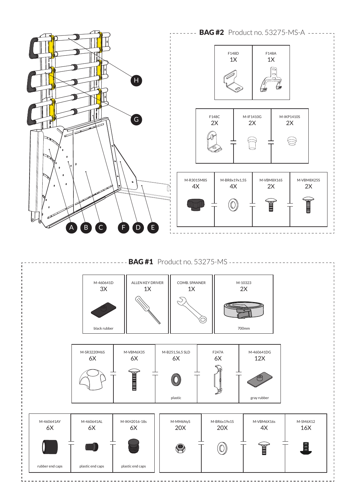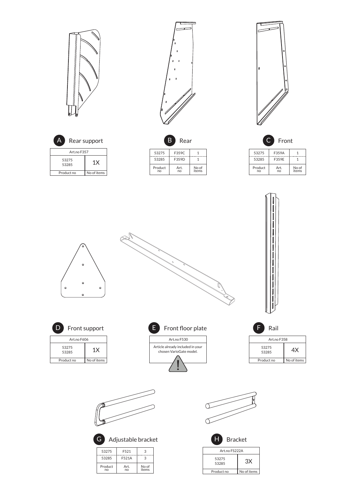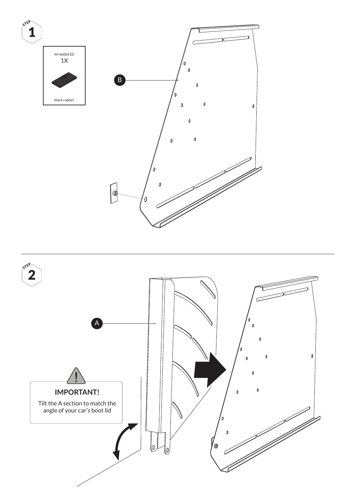

![](_page_5_Figure_1.jpeg)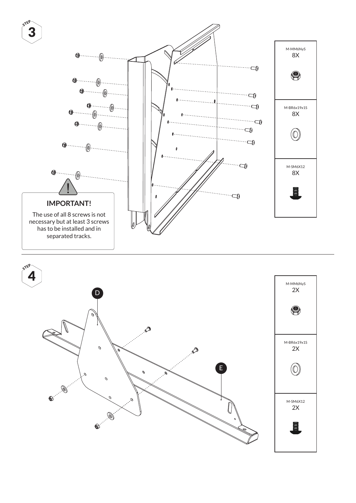![](_page_6_Figure_0.jpeg)

![](_page_6_Figure_1.jpeg)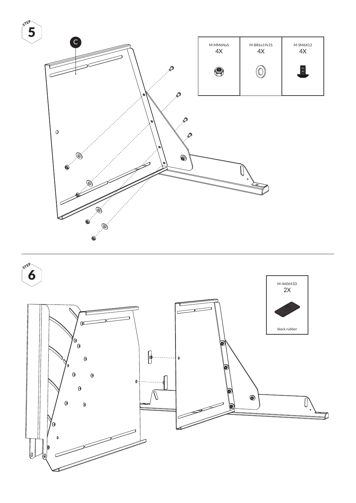![](_page_7_Figure_0.jpeg)

![](_page_7_Figure_1.jpeg)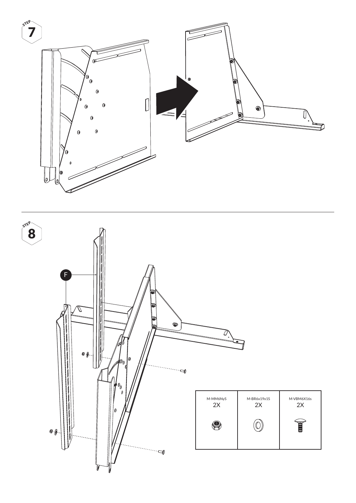![](_page_8_Figure_0.jpeg)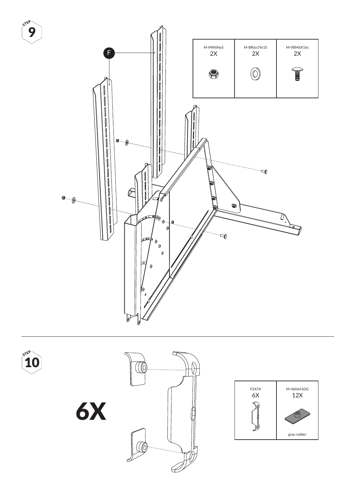![](_page_9_Figure_0.jpeg)

![](_page_9_Figure_1.jpeg)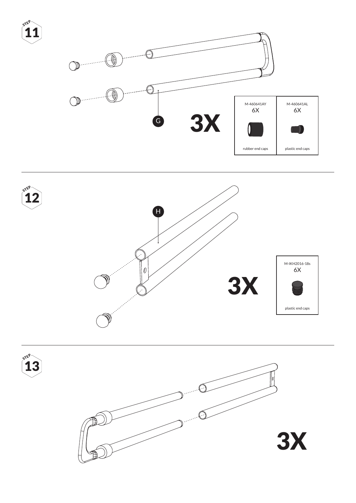![](_page_10_Figure_0.jpeg)

![](_page_10_Figure_1.jpeg)

![](_page_10_Picture_2.jpeg)

STEP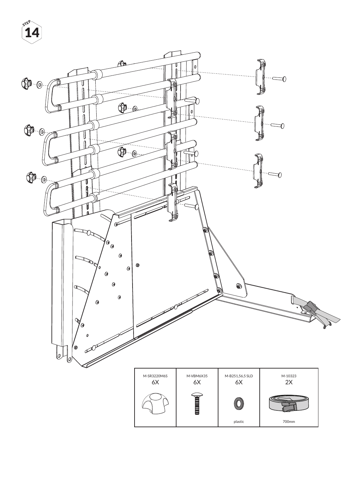![](_page_11_Figure_0.jpeg)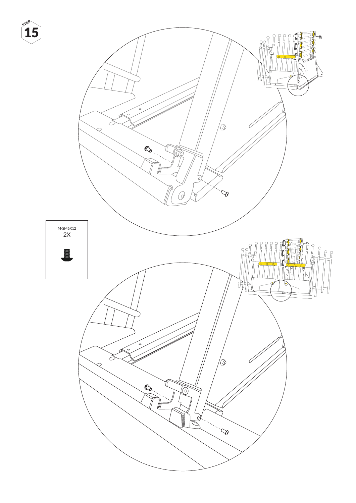![](_page_12_Picture_0.jpeg)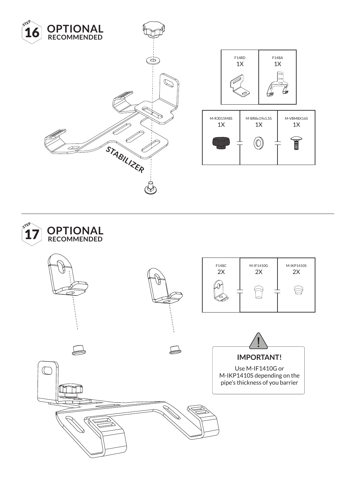![](_page_13_Picture_0.jpeg)

![](_page_13_Figure_1.jpeg)

![](_page_13_Figure_2.jpeg)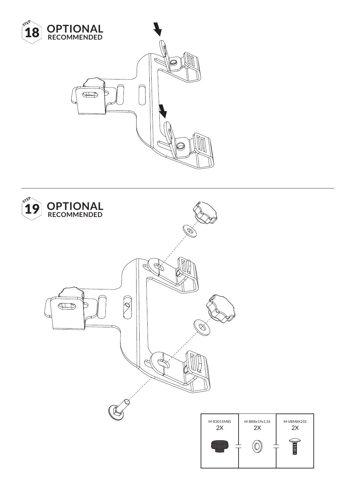![](_page_14_Picture_0.jpeg)

![](_page_14_Picture_1.jpeg)